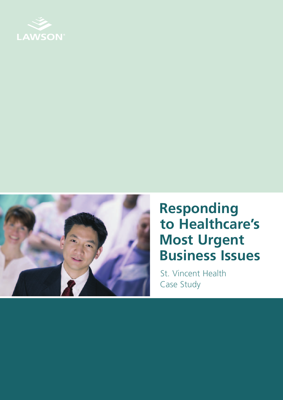



# **Responding to Healthcare's Most Urgent Business Issues**

St. Vincent Health Case Study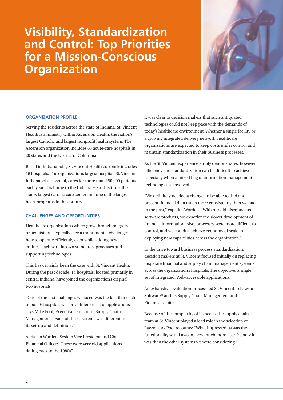# **Visibility, Standardization and Control: Top Priorities for a Mission-Conscious Organization**



# **ORGANIZATION PROFILE**

Serving the residents across the state of Indiana, St. Vincent Health is a ministry within Ascension Health, the nation's largest Catholic and largest nonprofit health system. The Ascension organization includes 63 acute-care hospitals in 20 states and the District of Columbia.

Based in Indianapolis, St. Vincent Health currently includes 16 hospitals. The organization's largest hospital, St. Vincent Indianapolis Hospital, cares for more than 150,000 patients each year. It is home to the Indiana Heart Institute, the state's largest cardiac care center and one of the largest heart programs in the country.

#### **CHALLENGES AND OPPORTUNITIES**

Healthcare organizations which grow through mergers or acquisitions typically face a monumental challenge: how to operate efficiently even while adding new entities, each with its own standards, processes and supporting technologies.

This has certainly been the case with St. Vincent Health. During the past decade, 14 hospitals, located primarily in central Indiana, have joined the organization's original two hospitals.

"One of the first challenges we faced was the fact that each of our 16 hospitals was on a different set of applications," says Mike Pool, Executive Director of Supply Chain Management. "Each of these systems was different in its set-up and definitions."

Adds Ian Worden, System Vice President and Chief Financial Officer: "These were very old applications dating back to the 1980s."

It was clear to decision makers that such antiquated technologies could not keep pace with the demands of today's healthcare environment. Whether a single facility or a growing integrated delivery network, healthcare organizations are expected to keep costs under control and maintain standardization in their business processes.

As the St. Vincent experience amply demonstrates, however, efficiency and standardization can be difficult to achieve – especially when a mixed bag of information management technologies is involved.

"We definitely needed a change, to be able to find and present financial data much more consistently than we had in the past," explains Worden. "With our old disconnected software products, we experienced slower development of financial information. Also, processes were more difficult to control, and we couldn't achieve economy of scale in deploying new capabilities across the organization."

In the drive toward business process standardization, decision makers at St. Vincent focused initially on replacing disparate financial and supply chain management systems across the organization's hospitals. The objective: a single set of integrated, Web-accessible applications.

An exhaustive evaluation process led St. Vincent to Lawson Software® and its Supply Chain Management and Financials suites.

Because of the complexity of its needs, the supply chain team at St. Vincent played a lead role in the selection of Lawson. As Pool recounts: "What impressed us was the functionality with Lawson, how much more user friendly it was than the other systems we were considering."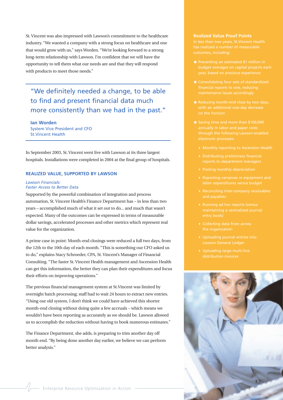St. Vincent was also impressed with Lawson's commitment to the healthcare industry. "We wanted a company with a strong focus on healthcare and one that would grow with us," says Worden. "We're looking forward to a strong long-term relationship with Lawson. I'm confident that we will have the opportunity to tell them what our needs are and that they will respond with products to meet those needs."

"We definitely needed a change, to be able to find and present financial data much more consistently than we had in the past."

**Ian Worden** System Vice President and CFO St.Vincent Health

In September 2003, St. Vincent went live with Lawson at its three largest hospitals. Installations were completed in 2004 at the final group of hospitals.

# **REALIZED VALUE, SUPPORTED BY LAWSON**

#### *Lawson Financials: Faster Access to Better Data*

Supported by the powerful combination of integration and process automation, St. Vincent Health's Finance Department has – in less than two years – accomplished much of what it set out to do... and much that wasn't expected. Many of the outcomes can be expressed in terms of measurable dollar savings, accelerated processes and other metrics which represent real value for the organization.

A prime case in point: Month-end closings were reduced a full two days, from the 12th to the 10th day of each month. "This is something our CFO asked us to do," explains Stacy Schroeder, CPA, St. Vincent's Manager of Financial Consulting. "The faster St. Vincent Health management and Ascension Health can get this information, the better they can plan their expenditures and focus their efforts on improving operations."

The previous financial management system at St.Vincent was limited by overnight batch processing; staff had to wait 24 hours to extract new entries. "Using our old system, I don't think we could have achieved this shorter month-end closing without doing quite a few accruals – which means we wouldn't have been reporting as accurately as we should be. Lawson allowed us to accomplish the reduction without having to book numerous estimates."

The Finance Department, she adds, is preparing to trim another day off month end. "By being done another day earlier, we believe we can perform better analysis."

### **Realized Value Proof Points**

- 
- financial reports to one, reducing
- 
- -
- 4 Distributing preliminary financial
- 
- 
- 
- 
- 
- 
- 

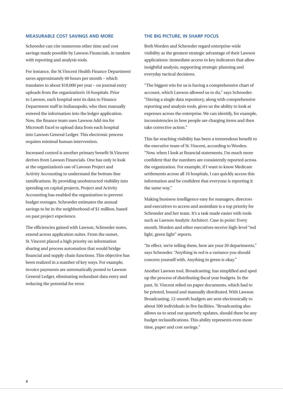# **MEASURABLE COST SAVINGS AND MORE**

Schroeder can cite numerous other time and cost savings made possible by Lawson Financials, in tandem with reporting and analysis tools.

For instance, the St.Vincent Health Finance Department saves approximately 60 hours per month – which translates to about \$18,000 per year – on journal entry uploads from the organization's 16 hospitals. Prior to Lawson, each hospital sent its data to Finance Department staff in Indianapolis, who then manually entered the information into the ledger application. Now, the finance team uses Lawson Add-ins for Microsoft Excel to upload data from each hospital into Lawson General Ledger. This electronic process requires minimal human intervention.

Increased control is another primary benefit St.Vincent derives from Lawson Financials. One has only to look at the organization's use of Lawson Project and Activity Accounting to understand the bottom-line ramifications. By providing unobstructed visibility into spending on capital projects, Project and Activity Accounting has enabled the organization to prevent budget overages. Schroeder estimates the annual savings to be in the neighborhood of \$1 million, based on past project experience.

The efficiencies gained with Lawson, Schroeder notes, extend across application suites. From the outset, St. Vincent placed a high priority on information sharing and process automation that would bridge financial and supply chain functions. This objective has been realized in a number of key ways. For example, invoice payments are automatically posted to Lawson General Ledger, eliminating redundant data entry and reducing the potential for error.

# **THE BIG PICTURE, IN SHARP FOCUS**

Both Worden and Schroeder regard enterprise-wide visibility as the greatest strategic advantage of their Lawson applications: immediate access to key indicators that allow insightful analysis, supporting strategic planning and everyday tactical decisions.

"The biggest win for us is having a comprehensive chart of account, which Lawson allowed us to do," says Schroeder. "Having a single data repository, along with comprehensive reporting and analysis tools, gives us the ability to look at expenses across the enterprise. We can identify, for example, inconsistencies in how people are charging items and then take corrective action."

This far-reaching visibility has been a tremendous benefit to the executive team of St. Vincent, according to Worden. "Now, when I look at financial statements, I'm much more confident that the numbers are consistently reported across the organization. For example, if I want to know Medicare settlements across all 16 hospitals, I can quickly access this information and be confident that everyone is reporting it the same way."

Making business intelligence easy for managers, directors and executives to access and assimilate is a top priority for Schroeder and her team. It's a task made easier with tools such as Lawson Analytic Architect. Case in point: Every month, Worden and other executives receive high-level "red light, green light" reports.

"In effect, we're telling them, here are your 20 departments," says Schroeder. "Anything in red is a variance you should concern yourself with. Anything in green is okay."

Another Lawson tool, Broadcasting, has simplified and sped up the process of distributing fiscal year budgets. In the past, St. Vincent relied on paper documents, which had to be printed, bound and manually distributed. With Lawson Broadcasting, 12-month budgets are sent electronically to about 500 individuals in five facilities. "Broadcasting also allows us to send out quarterly updates, should there be any budget reclassifications. This ability represents even more time, paper and cost savings."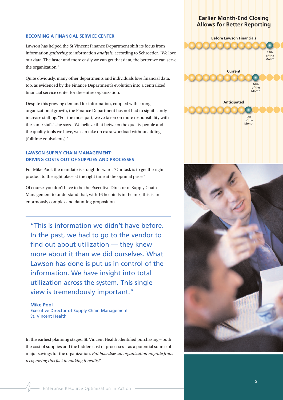### **BECOMING A FINANCIAL SERVICE CENTER**

Lawson has helped the St.Vincent Finance Department shift its focus from information *gathering* to information *analysis*, according to Schroeder. "We love our data. The faster and more easily we can get that data, the better we can serve the organization."

Quite obviously, many other departments and individuals love financial data, too, as evidenced by the Finance Department's evolution into a centralized financial service center for the entire organization.

Despite this growing demand for information, coupled with strong organizational growth, the Finance Department has not had to significantly increase staffing. "For the most part, we've taken on more responsibility with the same staff," she says. "We believe that between the quality people and the quality tools we have, we can take on extra workload without adding (fulltime equivalents)."

# **LAWSON SUPPLY CHAIN MANAGEMENT: DRIVING COSTS OUT OF SUPPLIES AND PROCESSES**

For Mike Pool, the mandate is straightforward: "Our task is to get the right product to the right place at the right time at the optimal price."

Of course, you don't have to be the Executive Director of Supply Chain Management to understand that, with 16 hospitals in the mix, this is an enormously complex and daunting proposition.

"This is information we didn't have before. In the past, we had to go to the vendor to find out about utilization — they knew more about it than we did ourselves. What Lawson has done is put us in control of the information. We have insight into total utilization across the system. This single view is tremendously important."

**Mike Pool** Executive Director of Supply Chain Management St. Vincent Health

In the earliest planning stages, St. Vincent Health identified purchasing – both the cost of supplies and the hidden cost of processes – as a potential source of major savings for the organization. *But how does an organization migrate from recognizing this fact to making it reality?*

# **Earlier Month-End Closing Allows for Better Reporting**

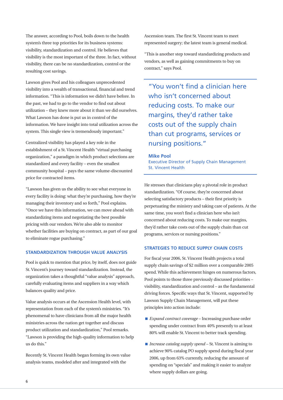The answer, according to Pool, boils down to the health system's three top priorities for its business systems: visibility, standardization and control. He believes that visibility is the most important of the three. In fact, without visibility, there can be no standardization, control or the resulting cost savings.

Lawson gives Pool and his colleagues unprecedented visibility into a wealth of transactional, financial and trend information. "This is information we didn't have before. In the past, we had to go to the vendor to find out about utilization – they knew more about it than we did ourselves. What Lawson has done is put us in control of the information. We have insight into total utilization across the system. This single view is tremendously important."

Centralized visibility has played a key role in the establishment of a St. Vincent Health "virtual purchasing organization," a paradigm in which product selections are standardized and every facility – even the smallest community hospital – pays the same volume-discounted price for contracted items.

"Lawson has given us the ability to see what everyone in every facility is doing: what they're purchasing, how they're managing their inventory and so forth," Pool explains. "Once we have this information, we can move ahead with standardizing items and negotiating the best possible pricing with our vendors. We're also able to monitor whether facilities are buying on contract, as part of our goal to eliminate rogue purchasing."

# **STANDARDIZATION THROUGH VALUE ANALYSIS**

Pool is quick to mention that price, by itself, does not guide St. Vincent's journey toward standardization. Instead, the organization takes a thoughtful "value analysis" approach, carefully evaluating items and suppliers in a way which balances quality and price.

Value analysis occurs at the Ascension Health level, with representation from each of the system's ministries. "It's phenomenal to have clinicians from all the major health ministries across the nation get together and discuss product utilization and standardization," Pool remarks. "Lawson is providing the high-quality information to help us do this."

Recently St. Vincent Health began forming its own value analysis teams, modeled after and integrated with the

Ascension team. The first St. Vincent team to meet represented surgery; the latest team is general medical.

"This is another step toward standardizing products and vendors, as well as gaining commitments to buy on contract," says Pool.

"You won't find a clinician here who isn't concerned about reducing costs. To make our margins, they'd rather take costs out of the supply chain than cut programs, services or nursing positions."

#### **Mike Pool**

Executive Director of Supply Chain Management St. Vincent Health

He stresses that clinicians play a pivotal role in product standardization. "Of course, they're concerned about selecting satisfactory products – their first priority is perpetuating the ministry and taking care of patients. At the same time, you won't find a clinician here who isn't concerned about reducing costs. To make our margins, they'd rather take costs out of the supply chain than cut programs, services or nursing positions."

# **STRATEGIES TO REDUCE SUPPLY CHAIN COSTS**

For fiscal year 2006, St. Vincent Health projects a total supply chain savings of \$2 million over a comparable 2005 spend. While this achievement hinges on numerous factors, Pool points to those three previously discussed priorities – visibility, standardization and control – as the fundamental driving forces. Specific ways that St. Vincent, supported by Lawson Supply Chain Management, will put these principles into action include:

- *Expand contract coverage* Increasing purchase order spending under contract from 40% presently to at least 80% will enable St. Vincent to better track spending.
- *Increase catalog supply spend* St. Vincent is aiming to achieve 90% catalog PO supply spend during fiscal year 2006, up from 63% currently, reducing the amount of spending on "specials" and making it easier to analyze where supply dollars are going.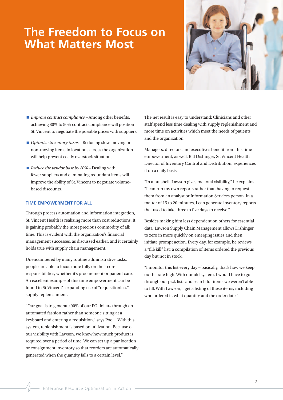# **The Freedom to Focus on What Matters Most**



- *Improve contract compliance* Among other benefits, achieving 80% to 90% contract compliance will position St. Vincent to negotiate the possible prices with suppliers.
- *Optimize inventory turns* Reducing slow-moving or non-moving items in locations across the organization will help prevent costly overstock situations.
- *Reduce the vendor base by 20%* Dealing with fewer suppliers and eliminating redundant items will improve the ability of St. Vincent to negotiate volumebased discounts.

# **TIME EMPOWERMENT FOR ALL**

Through process automation and information integration, St. Vincent Health is realizing more than cost reductions. It is gaining probably the most precious commodity of all: time. This is evident with the organization's financial management successes, as discussed earlier, and it certainly holds true with supply chain management.

Unencumbered by many routine administrative tasks, people are able to focus more fully on their core responsibilities, whether it's procurement or patient care. An excellent example of this time empowerment can be found in St.Vincent's expanding use of "requisitionless" supply replenishment.

"Our goal is to generate 90% of our PO dollars through an automated fashion rather than someone sitting at a keyboard and entering a requisition," says Pool. "With this system, replenishment is based on utilization. Because of our visibility with Lawson, we know how much product is required over a period of time. We can set up a par location or consignment inventory so that reorders are automatically generated when the quantity falls to a certain level."

The net result is easy to understand: Clinicians and other staff spend less time dealing with supply replenishment and more time on activities which meet the needs of patients and the organization.

Managers, directors and executives benefit from this time empowerment, as well. Bill Dishinger, St. Vincent Health Director of Inventory Control and Distribution, experiences it on a daily basis.

"In a nutshell, Lawson gives me total visibility," he explains. "I can run my own reports rather than having to request them from an analyst or Information Services person. In a matter of 15 to 20 minutes, I can generate inventory reports that used to take three to five days to receive."

Besides making him less dependent on others for essential data, Lawson Supply Chain Management allows Dishinger to zero in more quickly on emerging issues and then initiate prompt action. Every day, for example, he reviews a "fill/kill" list: a compilation of items ordered the previous day but not in stock.

"I monitor this list every day – basically, that's how we keep our fill rate high. With our old system, I would have to go through our pick lists and search for items we weren't able to fill. With Lawson, I get a listing of these items, including who ordered it, what quantity and the order date."